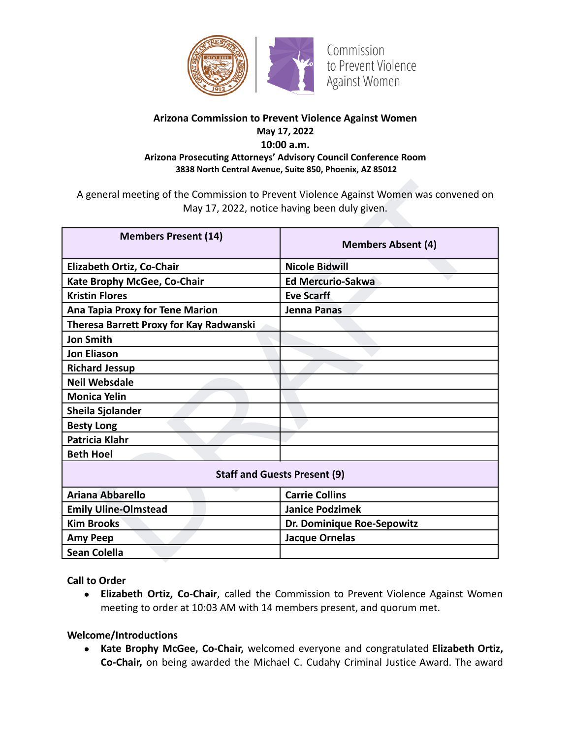

## **Arizona Commission to Prevent Violence Against Women May 17, 2022 10:00 a.m. Arizona Prosecuting Attorneys' Advisory Council Conference Room 3838 North Central Avenue, Suite 850, Phoenix, AZ 85012**

| A general meeting of the Commission to Prevent Violence Against Women was convened on<br>May 17, 2022, notice having been duly given. |                            |
|---------------------------------------------------------------------------------------------------------------------------------------|----------------------------|
| <b>Members Present (14)</b>                                                                                                           | <b>Members Absent (4)</b>  |
| Elizabeth Ortiz, Co-Chair                                                                                                             | <b>Nicole Bidwill</b>      |
| Kate Brophy McGee, Co-Chair                                                                                                           | <b>Ed Mercurio-Sakwa</b>   |
| <b>Kristin Flores</b>                                                                                                                 | <b>Eve Scarff</b>          |
| <b>Ana Tapia Proxy for Tene Marion</b>                                                                                                | <b>Jenna Panas</b>         |
| Theresa Barrett Proxy for Kay Radwanski                                                                                               |                            |
| <b>Jon Smith</b>                                                                                                                      |                            |
| <b>Jon Eliason</b>                                                                                                                    |                            |
| <b>Richard Jessup</b>                                                                                                                 |                            |
| <b>Neil Websdale</b>                                                                                                                  |                            |
| <b>Monica Yelin</b>                                                                                                                   |                            |
| <b>Sheila Sjolander</b>                                                                                                               |                            |
| <b>Besty Long</b>                                                                                                                     |                            |
| <b>Patricia Klahr</b>                                                                                                                 |                            |
| <b>Beth Hoel</b>                                                                                                                      |                            |
| <b>Staff and Guests Present (9)</b>                                                                                                   |                            |
| <b>Ariana Abbarello</b>                                                                                                               | <b>Carrie Collins</b>      |
| <b>Emily Uline-Olmstead</b>                                                                                                           | <b>Janice Podzimek</b>     |
| <b>Kim Brooks</b>                                                                                                                     | Dr. Dominique Roe-Sepowitz |
| <b>Amy Peep</b>                                                                                                                       | <b>Jacque Ornelas</b>      |
| <b>Sean Colella</b>                                                                                                                   |                            |

**Call to Order**

**● Elizabeth Ortiz, Co-Chair**, called the Commission to Prevent Violence Against Women meeting to order at 10:03 AM with 14 members present, and quorum met.

#### **Welcome/Introductions**

**● Kate Brophy McGee, Co-Chair,** welcomed everyone and congratulated **Elizabeth Ortiz, Co-Chair,** on being awarded the Michael C. Cudahy Criminal Justice Award. The award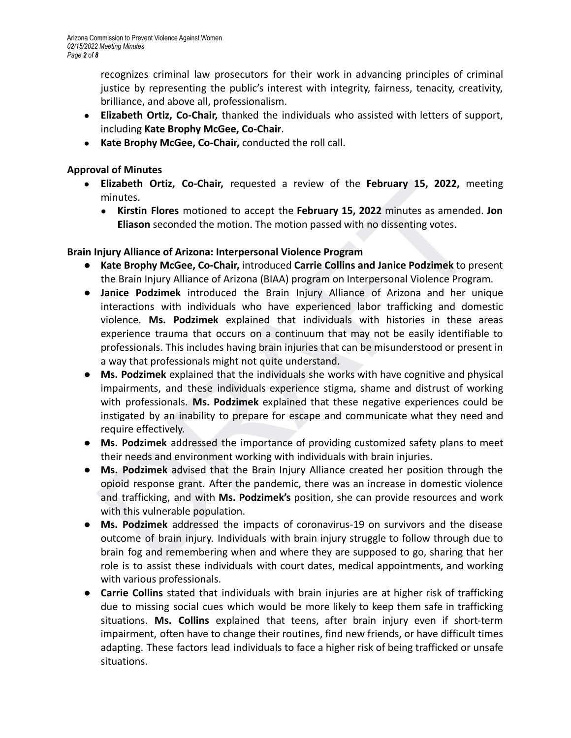recognizes criminal law prosecutors for their work in advancing principles of criminal justice by representing the public's interest with integrity, fairness, tenacity, creativity, brilliance, and above all, professionalism.

- **● Elizabeth Ortiz, Co-Chair,** thanked the individuals who assisted with letters of support, including **Kate Brophy McGee, Co-Chair**.
- **● Kate Brophy McGee, Co-Chair,** conducted the roll call.

## **Approval of Minutes**

- **Elizabeth Ortiz, Co-Chair,** requested a review of the **February 15, 2022,** meeting minutes.
	- **Kirstin Flores** motioned to accept the **February 15, 2022** minutes as amended. **Jon Eliason** seconded the motion. The motion passed with no dissenting votes.

# **Brain Injury Alliance of Arizona: Interpersonal Violence Program**

- **Kate Brophy McGee, Co-Chair,** introduced **Carrie Collins and Janice Podzimek** to present the Brain Injury Alliance of Arizona (BIAA) program on Interpersonal Violence Program.
- **Elizabeth Ortiz, Co-Chair,** requested a review of the **February 15, 2022**, meeting<br>
minutes.<br>
Minity alliance of Arizona: Interpersonal Violence Program<br> **Elizabeth Program Elizabeth Elizabeth Elizabeth Elizabeth Elizabet ● Janice Podzimek** introduced the Brain Injury Alliance of Arizona and her unique interactions with individuals who have experienced labor trafficking and domestic violence. **Ms. Podzimek** explained that individuals with histories in these areas experience trauma that occurs on a continuum that may not be easily identifiable to professionals. This includes having brain injuries that can be misunderstood or present in a way that professionals might not quite understand.
- **Ms. Podzimek** explained that the individuals she works with have cognitive and physical impairments, and these individuals experience stigma, shame and distrust of working with professionals. **Ms. Podzimek** explained that these negative experiences could be instigated by an inability to prepare for escape and communicate what they need and require effectively.
- **Ms. Podzimek** addressed the importance of providing customized safety plans to meet their needs and environment working with individuals with brain injuries.
- **Ms. Podzimek** advised that the Brain Injury Alliance created her position through the opioid response grant. After the pandemic, there was an increase in domestic violence and trafficking, and with **Ms. Podzimek's** position, she can provide resources and work with this vulnerable population.
- **● Ms. Podzimek** addressed the impacts of coronavirus-19 on survivors and the disease outcome of brain injury. Individuals with brain injury struggle to follow through due to brain fog and remembering when and where they are supposed to go, sharing that her role is to assist these individuals with court dates, medical appointments, and working with various professionals.
- **● Carrie Collins** stated that individuals with brain injuries are at higher risk of trafficking due to missing social cues which would be more likely to keep them safe in trafficking situations. **Ms. Collins** explained that teens, after brain injury even if short-term impairment, often have to change their routines, find new friends, or have difficult times adapting. These factors lead individuals to face a higher risk of being trafficked or unsafe situations.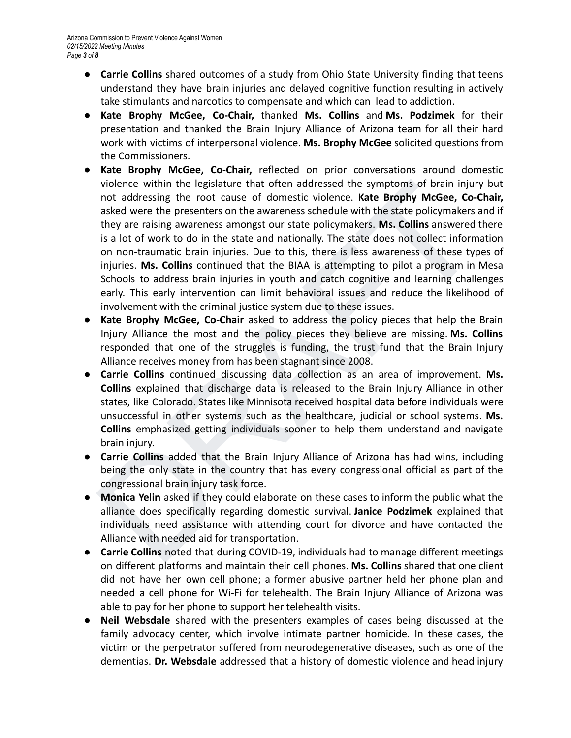- **● Carrie Collins** shared outcomes of a study from Ohio State University finding that teens understand they have brain injuries and delayed cognitive function resulting in actively take stimulants and narcotics to compensate and which can lead to addiction.
- **Kate Brophy McGee, Co-Chair,** thanked **Ms. Collins** and **Ms. Podzimek** for their presentation and thanked the Brain Injury Alliance of Arizona team for all their hard work with victims of interpersonal violence. **Ms. Brophy McGee** solicited questions from the Commissioners.
- violence within the legislature that often addressed the symptoms of brain injury but<br>not addressing he root case of domestic violence. **Kate Brophy McGee,** Co-Chair,<br>asked were the presenters on the awareness schedule wit **● Kate Brophy McGee, Co-Chair,** reflected on prior conversations around domestic violence within the legislature that often addressed the symptoms of brain injury but not addressing the root cause of domestic violence. **Kate Brophy McGee, Co-Chair,** asked were the presenters on the awareness schedule with the state policymakers and if they are raising awareness amongst our state policymakers. **Ms. Collins** answered there is a lot of work to do in the state and nationally. The state does not collect information on non-traumatic brain injuries. Due to this, there is less awareness of these types of injuries. **Ms. Collins** continued that the BIAA is attempting to pilot a program in Mesa Schools to address brain injuries in youth and catch cognitive and learning challenges early. This early intervention can limit behavioral issues and reduce the likelihood of involvement with the criminal justice system due to these issues.
- **Kate Brophy McGee, Co-Chair** asked to address the policy pieces that help the Brain Injury Alliance the most and the policy pieces they believe are missing. **Ms. Collins** responded that one of the struggles is funding, the trust fund that the Brain Injury Alliance receives money from has been stagnant since 2008.
- **Carrie Collins** continued discussing data collection as an area of improvement. **Ms. Collins** explained that discharge data is released to the Brain Injury Alliance in other states, like Colorado. States like Minnisota received hospital data before individuals were unsuccessful in other systems such as the healthcare, judicial or school systems. **Ms. Collins** emphasized getting individuals sooner to help them understand and navigate brain injury.
- **Carrie Collins** added that the Brain Injury Alliance of Arizona has had wins, including being the only state in the country that has every congressional official as part of the congressional brain injury task force.
- **Monica Yelin** asked if they could elaborate on these cases to inform the public what the alliance does specifically regarding domestic survival. **Janice Podzimek** explained that individuals need assistance with attending court for divorce and have contacted the Alliance with needed aid for transportation.
- **● Carrie Collins** noted that during COVID-19, individuals had to manage different meetings on different platforms and maintain their cell phones. **Ms. Collins** shared that one client did not have her own cell phone; a former abusive partner held her phone plan and needed a cell phone for Wi-Fi for telehealth. The Brain Injury Alliance of Arizona was able to pay for her phone to support her telehealth visits.
- **● Neil Websdale** shared with the presenters examples of cases being discussed at the family advocacy center, which involve intimate partner homicide. In these cases, the victim or the perpetrator suffered from neurodegenerative diseases, such as one of the dementias. **Dr. Websdale** addressed that a history of domestic violence and head injury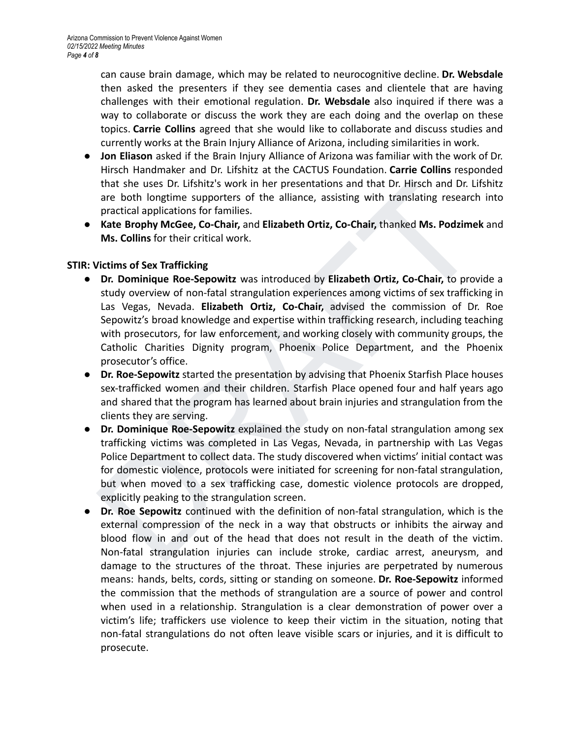can cause brain damage, which may be related to neurocognitive decline. **Dr. Websdale** then asked the presenters if they see dementia cases and clientele that are having challenges with their emotional regulation. **Dr. Websdale** also inquired if there was a way to collaborate or discuss the work they are each doing and the overlap on these topics. **Carrie Collins** agreed that she would like to collaborate and discuss studies and currently works at the Brain Injury Alliance of Arizona, including similarities in work.

- **● Jon Eliason** asked if the Brain Injury Alliance of Arizona was familiar with the work of Dr. Hirsch Handmaker and Dr. Lifshitz at the CACTUS Foundation. **Carrie Collins** responded that she uses Dr. Lifshitz's work in her presentations and that Dr. Hirsch and Dr. Lifshitz are both longtime supporters of the alliance, assisting with translating research into practical applications for families.
- **● Kate Brophy McGee, Co-Chair,** and **Elizabeth Ortiz, Co-Chair,** thanked **Ms. Podzimek** and **Ms. Collins** for their critical work.

### **STIR: Victims of Sex Trafficking**

- that she uses Dr. Lifshitz's work in her presentations and that Dr. Hirsch and Dr. Lifshitz<br>are both longtime supporters of the alliance, assisting with translating research into<br>practical applications for familles.<br>**Kate** ● **Dr. Dominique Roe-Sepowitz** was introduced by **Elizabeth Ortiz, Co-Chair,** to provide a study overview of non-fatal strangulation experiences among victims of sex trafficking in Las Vegas, Nevada. **Elizabeth Ortiz, Co-Chair,** advised the commission of Dr. Roe Sepowitz's broad knowledge and expertise within trafficking research, including teaching with prosecutors, for law enforcement, and working closely with community groups, the Catholic Charities Dignity program, Phoenix Police Department, and the Phoenix prosecutor's office.
- **● Dr. Roe-Sepowitz** started the presentation by advising that Phoenix Starfish Place houses sex-trafficked women and their children. Starfish Place opened four and half years ago and shared that the program has learned about brain injuries and strangulation from the clients they are serving.
- **● Dr. Dominique Roe-Sepowitz** explained the study on non-fatal strangulation among sex trafficking victims was completed in Las Vegas, Nevada, in partnership with Las Vegas Police Department to collect data. The study discovered when victims' initial contact was for domestic violence, protocols were initiated for screening for non-fatal strangulation, but when moved to a sex trafficking case, domestic violence protocols are dropped, explicitly peaking to the strangulation screen.
- **● Dr. Roe Sepowitz** continued with the definition of non-fatal strangulation, which is the external compression of the neck in a way that obstructs or inhibits the airway and blood flow in and out of the head that does not result in the death of the victim. Non-fatal strangulation injuries can include stroke, cardiac arrest, aneurysm, and damage to the structures of the throat. These injuries are perpetrated by numerous means: hands, belts, cords, sitting or standing on someone. **Dr. Roe-Sepowitz** informed the commission that the methods of strangulation are a source of power and control when used in a relationship. Strangulation is a clear demonstration of power over a victim's life; traffickers use violence to keep their victim in the situation, noting that non-fatal strangulations do not often leave visible scars or injuries, and it is difficult to prosecute.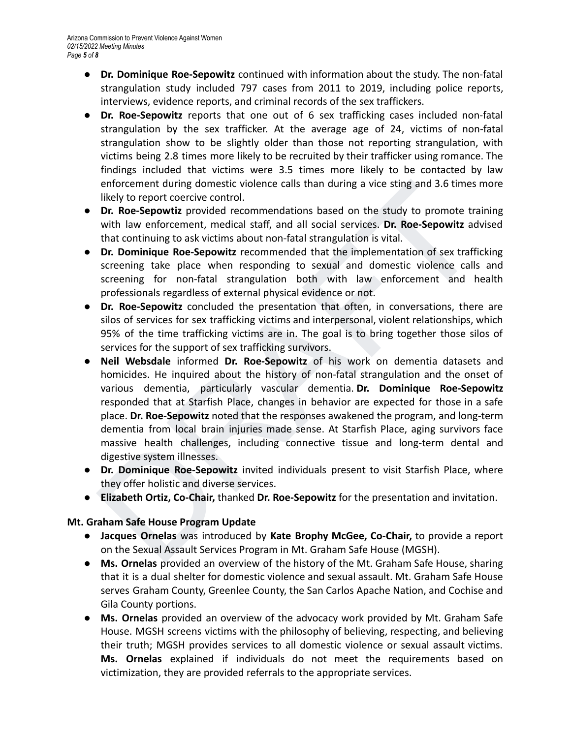- **● Dr. Dominique Roe-Sepowitz** continued with information about the study. The non-fatal strangulation study included 797 cases from 2011 to 2019, including police reports, interviews, evidence reports, and criminal records of the sex traffickers.
- **● Dr. Roe-Sepowitz** reports that one out of 6 sex trafficking cases included non-fatal strangulation by the sex trafficker. At the average age of 24, victims of non-fatal strangulation show to be slightly older than those not reporting strangulation, with victims being 2.8 times more likely to be recruited by their trafficker using romance. The findings included that victims were 3.5 times more likely to be contacted by law enforcement during domestic violence calls than during a vice sting and 3.6 times more likely to report coercive control.
- **Dr. Roe-Sepowtiz** provided recommendations based on the study to promote training with law enforcement, medical staff, and all social services. **Dr. Roe-Sepowitz** advised that continuing to ask victims about non-fatal strangulation is vital.
- **Dr. Dominique Roe-Sepowitz** recommended that the implementation of sex trafficking screening take place when responding to sexual and domestic violence calls and screening for non-fatal strangulation both with law enforcement and health professionals regardless of external physical evidence or not.
- **● Dr. Roe-Sepowitz** concluded the presentation that often, in conversations, there are silos of services for sex trafficking victims and interpersonal, violent relationships, which 95% of the time trafficking victims are in. The goal is to bring together those silos of services for the support of sex trafficking survivors.
- enforcement during domestic violence calls than during a vice sting and 3.6 times more<br>likely to repord coercive control.<br>
Dr. **Roe-Sepowitz** provided recommendations based on the study to promote training<br>
or **Roe-Sepowit ● Neil Websdale** informed **Dr. Roe-Sepowitz** of his work on dementia datasets and homicides. He inquired about the history of non-fatal strangulation and the onset of various dementia, particularly vascular dementia. **Dr. Dominique Roe-Sepowitz** responded that at Starfish Place, changes in behavior are expected for those in a safe place. **Dr. Roe-Sepowitz** noted that the responses awakened the program, and long-term dementia from local brain injuries made sense. At Starfish Place, aging survivors face massive health challenges, including connective tissue and long-term dental and digestive system illnesses.
- **● Dr. Dominique Roe-Sepowitz** invited individuals present to visit Starfish Place, where they offer holistic and diverse services.
- **Elizabeth Ortiz, Co-Chair,** thanked **Dr. Roe-Sepowitz** for the presentation and invitation.

# **Mt. Graham Safe House Program Update**

- **Jacques Ornelas** was introduced by **Kate Brophy McGee, Co-Chair,** to provide a report on the Sexual Assault Services Program in Mt. Graham Safe House (MGSH).
- **● Ms. Ornelas** provided an overview of the history of the Mt. Graham Safe House, sharing that it is a dual shelter for domestic violence and sexual assault. Mt. Graham Safe House serves Graham County, Greenlee County, the San Carlos Apache Nation, and Cochise and Gila County portions.
- **● Ms. Ornelas** provided an overview of the advocacy work provided by Mt. Graham Safe House. MGSH screens victims with the philosophy of believing, respecting, and believing their truth; MGSH provides services to all domestic violence or sexual assault victims. **Ms. Ornelas** explained if individuals do not meet the requirements based on victimization, they are provided referrals to the appropriate services.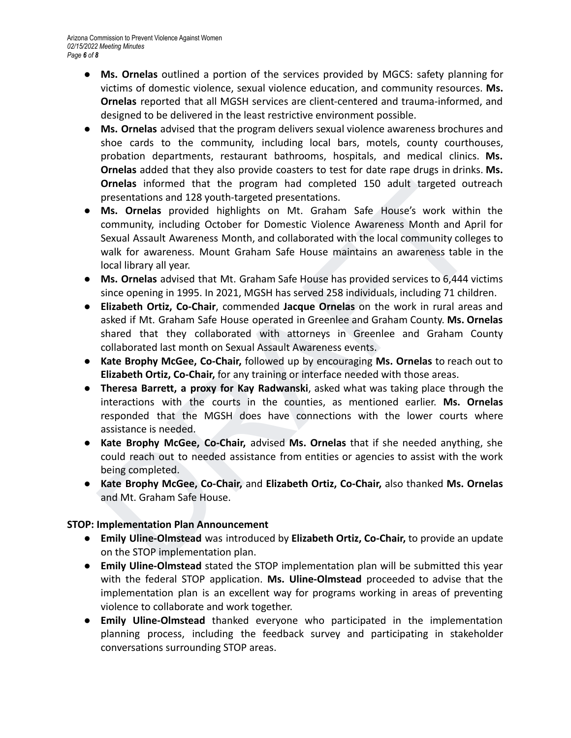- **● Ms. Ornelas** outlined a portion of the services provided by MGCS: safety planning for victims of domestic violence, sexual violence education, and community resources. **Ms. Ornelas** reported that all MGSH services are client-centered and trauma-informed, and designed to be delivered in the least restrictive environment possible.
- **Ms. Ornelas** advised that the program delivers sexual violence awareness brochures and shoe cards to the community, including local bars, motels, county courthouses, probation departments, restaurant bathrooms, hospitals, and medical clinics. **Ms. Ornelas** added that they also provide coasters to test for date rape drugs in drinks. **Ms. Ornelas** informed that the program had completed 150 adult targeted outreach presentations and 128 youth-targeted presentations.
- **Ornelas** informed that the program had completed 150 adult targeted outreach<br>
presentations and 128 youth-targeted presentations.<br> **MS.** Ornelas provided highlights on Mt. Graham Safe House's work within the<br>
community, i **● Ms. Ornelas** provided highlights on Mt. Graham Safe House's work within the community, including October for Domestic Violence Awareness Month and April for Sexual Assault Awareness Month, and collaborated with the local community colleges to walk for awareness. Mount Graham Safe House maintains an awareness table in the local library all year.
- **● Ms. Ornelas** advised that Mt. Graham Safe House has provided services to 6,444 victims since opening in 1995. In 2021, MGSH has served 258 individuals, including 71 children.
- **● Elizabeth Ortiz, Co-Chair**, commended **Jacque Ornelas** on the work in rural areas and asked if Mt. Graham Safe House operated in Greenlee and Graham County. **Ms. Ornelas** shared that they collaborated with attorneys in Greenlee and Graham County collaborated last month on Sexual Assault Awareness events.
- **Kate Brophy McGee, Co-Chair,** followed up by encouraging **Ms. Ornelas** to reach out to **Elizabeth Ortiz, Co-Chair,** for any training or interface needed with those areas.
- **Theresa Barrett, a proxy for Kay Radwanski**, asked what was taking place through the interactions with the courts in the counties, as mentioned earlier. **Ms. Ornelas** responded that the MGSH does have connections with the lower courts where assistance is needed.
- **Kate Brophy McGee, Co-Chair,** advised **Ms. Ornelas** that if she needed anything, she could reach out to needed assistance from entities or agencies to assist with the work being completed.
- **Kate Brophy McGee, Co-Chair,** and **Elizabeth Ortiz, Co-Chair,** also thanked **Ms. Ornelas** and Mt. Graham Safe House.

# **STOP: Implementation Plan Announcement**

- **Emily Uline-Olmstead** was introduced by **Elizabeth Ortiz, Co-Chair,** to provide an update on the STOP implementation plan.
- **Emily Uline-Olmstead** stated the STOP implementation plan will be submitted this year with the federal STOP application. **Ms. Uline-Olmstead** proceeded to advise that the implementation plan is an excellent way for programs working in areas of preventing violence to collaborate and work together.
- **● Emily Uline-Olmstead** thanked everyone who participated in the implementation planning process, including the feedback survey and participating in stakeholder conversations surrounding STOP areas.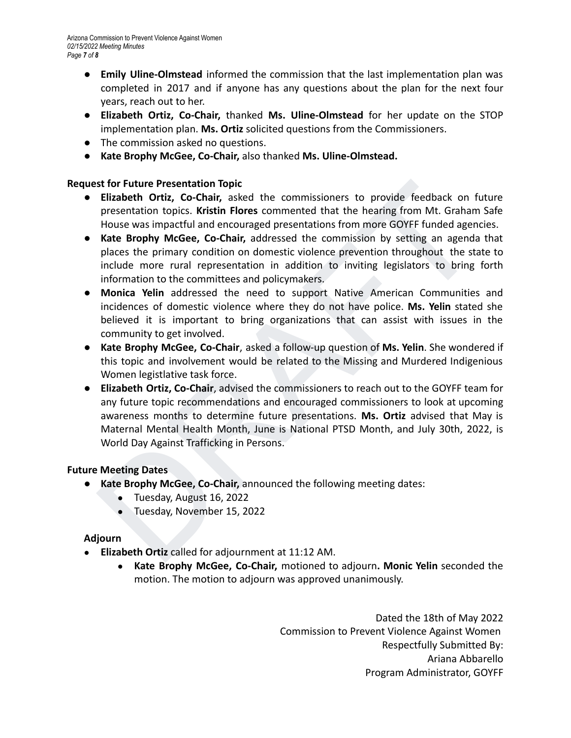- **● Emily Uline-Olmstead** informed the commission that the last implementation plan was completed in 2017 and if anyone has any questions about the plan for the next four years, reach out to her.
- **Elizabeth Ortiz, Co-Chair,** thanked **Ms. Uline-Olmstead** for her update on the STOP implementation plan. **Ms. Ortiz** solicited questions from the Commissioners.
- The commission asked no questions.
- **Kate Brophy McGee, Co-Chair,** also thanked **Ms. Uline-Olmstead.**

### **Request for Future Presentation Topic**

- **● Elizabeth Ortiz, Co-Chair,** asked the commissioners to provide feedback on future presentation topics. **Kristin Flores** commented that the hearing from Mt. Graham Safe House was impactful and encouraged presentations from more GOYFF funded agencies.
- **● Kate Brophy McGee, Co-Chair,** addressed the commission by setting an agenda that places the primary condition on domestic violence prevention throughout the state to include more rural representation in addition to inviting legislators to bring forth information to the committees and policymakers.
- **● Monica Yelin** addressed the need to support Native American Communities and incidences of domestic violence where they do not have police. **Ms. Yelin** stated she believed it is important to bring organizations that can assist with issues in the community to get involved.
- **Kate Brophy McGee, Co-Chair**, asked a follow-up question of **Ms. Yelin**. She wondered if this topic and involvement would be related to the Missing and Murdered Indigenious Women legistlative task force.
- **Elizabeth Ortiz, Co-Chair,** asked the commissioners to provide feedback on future Eirstabeth Ortiz, Co-Chair, asked the commissioners to provide feedback on future expectention fopics. Kristin Flores commented that the h **● Elizabeth Ortiz, Co-Chair**, advised the commissioners to reach out to the GOYFF team for any future topic recommendations and encouraged commissioners to look at upcoming awareness months to determine future presentations. **Ms. Ortiz** advised that May is Maternal Mental Health Month, June is National PTSD Month, and July 30th, 2022, is World Day Against Trafficking in Persons.

#### **Future Meeting Dates**

- **● Kate Brophy McGee, Co-Chair,** announced the following meeting dates:
	- Tuesday, August 16, 2022
	- Tuesday, November 15, 2022

#### **Adjourn**

- **Elizabeth Ortiz** called for adjournment at 11:12 AM.
	- **Kate Brophy McGee, Co-Chair,** motioned to adjourn**. Monic Yelin** seconded the motion. The motion to adjourn was approved unanimously.

Dated the 18th of May 2022 Commission to Prevent Violence Against Women Respectfully Submitted By: Ariana Abbarello Program Administrator, GOYFF